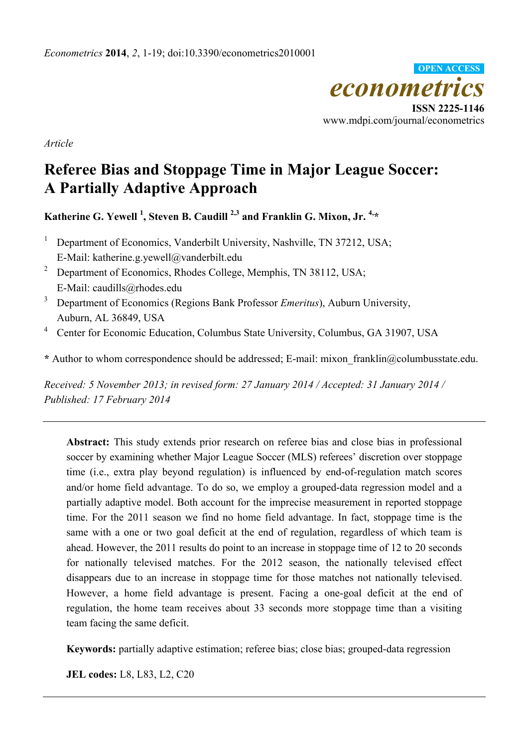

*Article* 

# **Referee Bias and Stoppage Time in Major League Soccer: A Partially Adaptive Approach**

Katherine G. Yewell <sup>1</sup>, Steven B. Caudill <sup>2,3</sup> and Franklin G. Mixon, Jr. <sup>4,\*</sup>

- 1 Department of Economics, Vanderbilt University, Nashville, TN 37212, USA; E-Mail: katherine.g.yewell@vanderbilt.edu
- 2 Department of Economics, Rhodes College, Memphis, TN 38112, USA; E-Mail: caudills@rhodes.edu
- 3 Department of Economics (Regions Bank Professor *Emeritus*), Auburn University, Auburn, AL 36849, USA
- <sup>4</sup> Center for Economic Education, Columbus State University, Columbus, GA 31907, USA

**\*** Author to whom correspondence should be addressed; E-mail: mixon\_franklin@columbusstate.edu.

*Received: 5 November 2013; in revised form: 27 January 2014 / Accepted: 31 January 2014 / Published: 17 February 2014* 

**Abstract:** This study extends prior research on referee bias and close bias in professional soccer by examining whether Major League Soccer (MLS) referees' discretion over stoppage time (i.e., extra play beyond regulation) is influenced by end-of-regulation match scores and/or home field advantage. To do so, we employ a grouped-data regression model and a partially adaptive model. Both account for the imprecise measurement in reported stoppage time. For the 2011 season we find no home field advantage. In fact, stoppage time is the same with a one or two goal deficit at the end of regulation, regardless of which team is ahead. However, the 2011 results do point to an increase in stoppage time of 12 to 20 seconds for nationally televised matches. For the 2012 season, the nationally televised effect disappears due to an increase in stoppage time for those matches not nationally televised. However, a home field advantage is present. Facing a one-goal deficit at the end of regulation, the home team receives about 33 seconds more stoppage time than a visiting team facing the same deficit.

**Keywords:** partially adaptive estimation; referee bias; close bias; grouped-data regression

**JEL codes:** L8, L83, L2, C20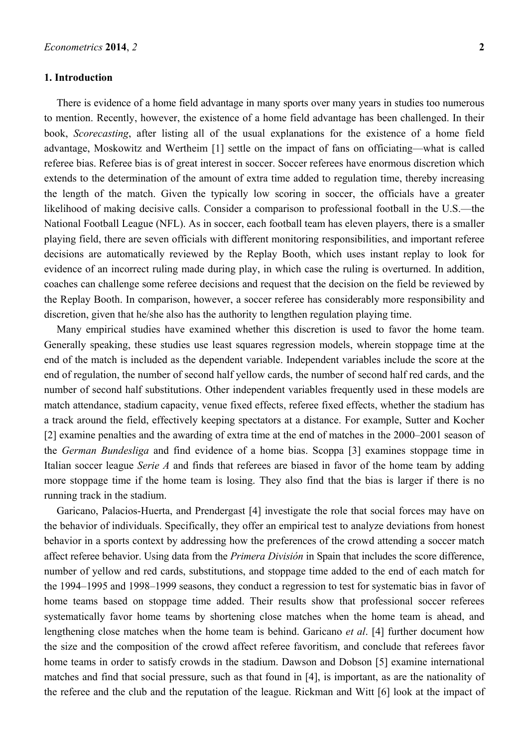### **1. Introduction**

There is evidence of a home field advantage in many sports over many years in studies too numerous to mention. Recently, however, the existence of a home field advantage has been challenged. In their book, *Scorecasting*, after listing all of the usual explanations for the existence of a home field advantage, Moskowitz and Wertheim [1] settle on the impact of fans on officiating—what is called referee bias. Referee bias is of great interest in soccer. Soccer referees have enormous discretion which extends to the determination of the amount of extra time added to regulation time, thereby increasing the length of the match. Given the typically low scoring in soccer, the officials have a greater likelihood of making decisive calls. Consider a comparison to professional football in the U.S.—the National Football League (NFL). As in soccer, each football team has eleven players, there is a smaller playing field, there are seven officials with different monitoring responsibilities, and important referee decisions are automatically reviewed by the Replay Booth, which uses instant replay to look for evidence of an incorrect ruling made during play, in which case the ruling is overturned. In addition, coaches can challenge some referee decisions and request that the decision on the field be reviewed by the Replay Booth. In comparison, however, a soccer referee has considerably more responsibility and discretion, given that he/she also has the authority to lengthen regulation playing time.

Many empirical studies have examined whether this discretion is used to favor the home team. Generally speaking, these studies use least squares regression models, wherein stoppage time at the end of the match is included as the dependent variable. Independent variables include the score at the end of regulation, the number of second half yellow cards, the number of second half red cards, and the number of second half substitutions. Other independent variables frequently used in these models are match attendance, stadium capacity, venue fixed effects, referee fixed effects, whether the stadium has a track around the field, effectively keeping spectators at a distance. For example, Sutter and Kocher [2] examine penalties and the awarding of extra time at the end of matches in the 2000–2001 season of the *German Bundesliga* and find evidence of a home bias. Scoppa [3] examines stoppage time in Italian soccer league *Serie A* and finds that referees are biased in favor of the home team by adding more stoppage time if the home team is losing. They also find that the bias is larger if there is no running track in the stadium.

Garicano, Palacios-Huerta, and Prendergast [4] investigate the role that social forces may have on the behavior of individuals. Specifically, they offer an empirical test to analyze deviations from honest behavior in a sports context by addressing how the preferences of the crowd attending a soccer match affect referee behavior. Using data from the *Primera División* in Spain that includes the score difference, number of yellow and red cards, substitutions, and stoppage time added to the end of each match for the 1994–1995 and 1998–1999 seasons, they conduct a regression to test for systematic bias in favor of home teams based on stoppage time added. Their results show that professional soccer referees systematically favor home teams by shortening close matches when the home team is ahead, and lengthening close matches when the home team is behind. Garicano *et al*. [4] further document how the size and the composition of the crowd affect referee favoritism, and conclude that referees favor home teams in order to satisfy crowds in the stadium. Dawson and Dobson [5] examine international matches and find that social pressure, such as that found in [4], is important, as are the nationality of the referee and the club and the reputation of the league. Rickman and Witt [6] look at the impact of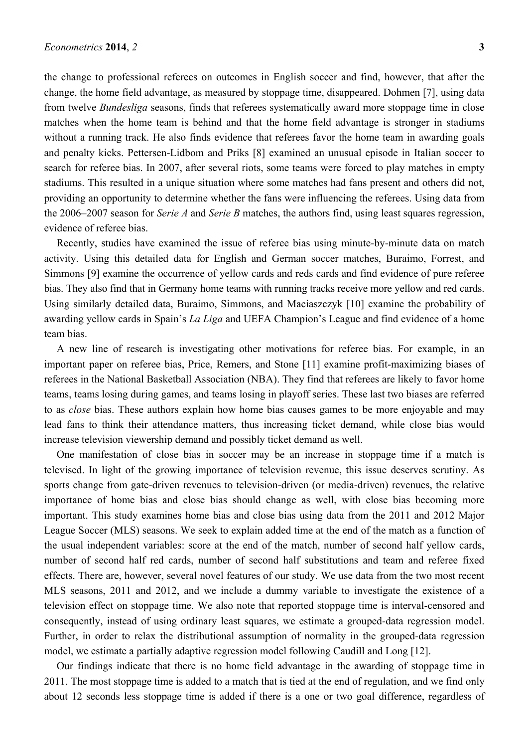the change to professional referees on outcomes in English soccer and find, however, that after the change, the home field advantage, as measured by stoppage time, disappeared. Dohmen [7], using data from twelve *Bundesliga* seasons, finds that referees systematically award more stoppage time in close matches when the home team is behind and that the home field advantage is stronger in stadiums without a running track. He also finds evidence that referees favor the home team in awarding goals and penalty kicks. Pettersen-Lidbom and Priks [8] examined an unusual episode in Italian soccer to search for referee bias. In 2007, after several riots, some teams were forced to play matches in empty stadiums. This resulted in a unique situation where some matches had fans present and others did not, providing an opportunity to determine whether the fans were influencing the referees. Using data from the 2006–2007 season for *Serie A* and *Serie B* matches, the authors find, using least squares regression, evidence of referee bias.

Recently, studies have examined the issue of referee bias using minute-by-minute data on match activity. Using this detailed data for English and German soccer matches, Buraimo, Forrest, and Simmons [9] examine the occurrence of yellow cards and reds cards and find evidence of pure referee bias. They also find that in Germany home teams with running tracks receive more yellow and red cards. Using similarly detailed data, Buraimo, Simmons, and Maciaszczyk [10] examine the probability of awarding yellow cards in Spain's *La Liga* and UEFA Champion's League and find evidence of a home team bias.

A new line of research is investigating other motivations for referee bias. For example, in an important paper on referee bias, Price, Remers, and Stone [11] examine profit-maximizing biases of referees in the National Basketball Association (NBA). They find that referees are likely to favor home teams, teams losing during games, and teams losing in playoff series. These last two biases are referred to as *close* bias. These authors explain how home bias causes games to be more enjoyable and may lead fans to think their attendance matters, thus increasing ticket demand, while close bias would increase television viewership demand and possibly ticket demand as well.

One manifestation of close bias in soccer may be an increase in stoppage time if a match is televised. In light of the growing importance of television revenue, this issue deserves scrutiny. As sports change from gate-driven revenues to television-driven (or media-driven) revenues, the relative importance of home bias and close bias should change as well, with close bias becoming more important. This study examines home bias and close bias using data from the 2011 and 2012 Major League Soccer (MLS) seasons. We seek to explain added time at the end of the match as a function of the usual independent variables: score at the end of the match, number of second half yellow cards, number of second half red cards, number of second half substitutions and team and referee fixed effects. There are, however, several novel features of our study. We use data from the two most recent MLS seasons, 2011 and 2012, and we include a dummy variable to investigate the existence of a television effect on stoppage time. We also note that reported stoppage time is interval-censored and consequently, instead of using ordinary least squares, we estimate a grouped-data regression model. Further, in order to relax the distributional assumption of normality in the grouped-data regression model, we estimate a partially adaptive regression model following Caudill and Long [12].

Our findings indicate that there is no home field advantage in the awarding of stoppage time in 2011. The most stoppage time is added to a match that is tied at the end of regulation, and we find only about 12 seconds less stoppage time is added if there is a one or two goal difference, regardless of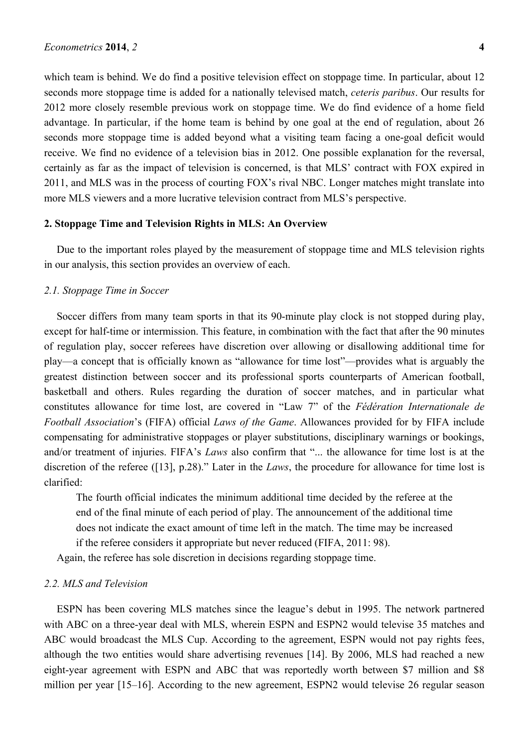which team is behind. We do find a positive television effect on stoppage time. In particular, about 12 seconds more stoppage time is added for a nationally televised match, *ceteris paribus*. Our results for 2012 more closely resemble previous work on stoppage time. We do find evidence of a home field advantage. In particular, if the home team is behind by one goal at the end of regulation, about 26 seconds more stoppage time is added beyond what a visiting team facing a one-goal deficit would receive. We find no evidence of a television bias in 2012. One possible explanation for the reversal, certainly as far as the impact of television is concerned, is that MLS' contract with FOX expired in 2011, and MLS was in the process of courting FOX's rival NBC. Longer matches might translate into more MLS viewers and a more lucrative television contract from MLS's perspective.

#### **2. Stoppage Time and Television Rights in MLS: An Overview**

Due to the important roles played by the measurement of stoppage time and MLS television rights in our analysis, this section provides an overview of each.

## *2.1. Stoppage Time in Soccer*

Soccer differs from many team sports in that its 90-minute play clock is not stopped during play, except for half-time or intermission. This feature, in combination with the fact that after the 90 minutes of regulation play, soccer referees have discretion over allowing or disallowing additional time for play—a concept that is officially known as "allowance for time lost"—provides what is arguably the greatest distinction between soccer and its professional sports counterparts of American football, basketball and others. Rules regarding the duration of soccer matches, and in particular what constitutes allowance for time lost, are covered in "Law 7" of the *Fédération Internationale de Football Association*'s (FIFA) official *Laws of the Game*. Allowances provided for by FIFA include compensating for administrative stoppages or player substitutions, disciplinary warnings or bookings, and/or treatment of injuries. FIFA's *Laws* also confirm that "... the allowance for time lost is at the discretion of the referee ([13], p.28)." Later in the *Laws*, the procedure for allowance for time lost is clarified:

The fourth official indicates the minimum additional time decided by the referee at the end of the final minute of each period of play. The announcement of the additional time does not indicate the exact amount of time left in the match. The time may be increased if the referee considers it appropriate but never reduced (FIFA, 2011: 98).

Again, the referee has sole discretion in decisions regarding stoppage time.

## *2.2. MLS and Television*

ESPN has been covering MLS matches since the league's debut in 1995. The network partnered with ABC on a three-year deal with MLS, wherein ESPN and ESPN2 would televise 35 matches and ABC would broadcast the MLS Cup. According to the agreement, ESPN would not pay rights fees, although the two entities would share advertising revenues [14]. By 2006, MLS had reached a new eight-year agreement with ESPN and ABC that was reportedly worth between \$7 million and \$8 million per year [15–16]. According to the new agreement, ESPN2 would televise 26 regular season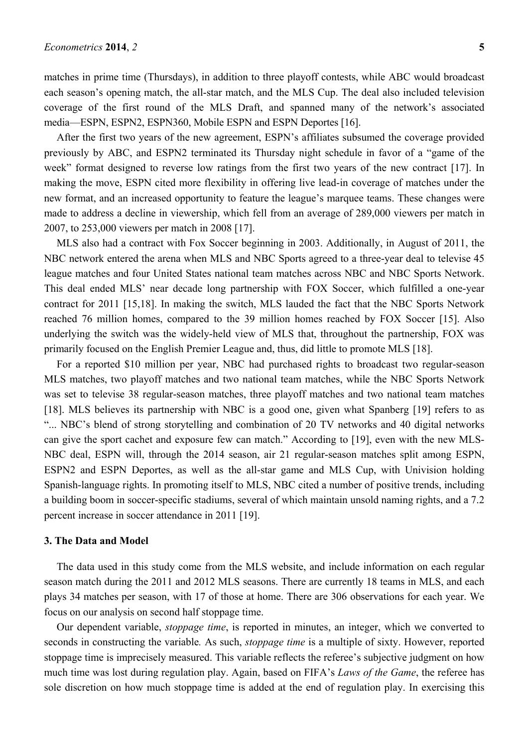matches in prime time (Thursdays), in addition to three playoff contests, while ABC would broadcast each season's opening match, the all-star match, and the MLS Cup. The deal also included television coverage of the first round of the MLS Draft, and spanned many of the network's associated media—ESPN, ESPN2, ESPN360, Mobile ESPN and ESPN Deportes [16].

After the first two years of the new agreement, ESPN's affiliates subsumed the coverage provided previously by ABC, and ESPN2 terminated its Thursday night schedule in favor of a "game of the week" format designed to reverse low ratings from the first two years of the new contract [17]. In making the move, ESPN cited more flexibility in offering live lead-in coverage of matches under the new format, and an increased opportunity to feature the league's marquee teams. These changes were made to address a decline in viewership, which fell from an average of 289,000 viewers per match in 2007, to 253,000 viewers per match in 2008 [17].

MLS also had a contract with Fox Soccer beginning in 2003. Additionally, in August of 2011, the NBC network entered the arena when MLS and NBC Sports agreed to a three-year deal to televise 45 league matches and four United States national team matches across NBC and NBC Sports Network. This deal ended MLS' near decade long partnership with FOX Soccer, which fulfilled a one-year contract for 2011 [15,18]. In making the switch, MLS lauded the fact that the NBC Sports Network reached 76 million homes, compared to the 39 million homes reached by FOX Soccer [15]. Also underlying the switch was the widely-held view of MLS that, throughout the partnership, FOX was primarily focused on the English Premier League and, thus, did little to promote MLS [18].

For a reported \$10 million per year, NBC had purchased rights to broadcast two regular-season MLS matches, two playoff matches and two national team matches, while the NBC Sports Network was set to televise 38 regular-season matches, three playoff matches and two national team matches [18]. MLS believes its partnership with NBC is a good one, given what Spanberg [19] refers to as "... NBC's blend of strong storytelling and combination of 20 TV networks and 40 digital networks can give the sport cachet and exposure few can match." According to [19], even with the new MLS-NBC deal, ESPN will, through the 2014 season, air 21 regular-season matches split among ESPN, ESPN2 and ESPN Deportes, as well as the all-star game and MLS Cup, with Univision holding Spanish-language rights. In promoting itself to MLS, NBC cited a number of positive trends, including a building boom in soccer-specific stadiums, several of which maintain unsold naming rights, and a 7.2 percent increase in soccer attendance in 2011 [19].

#### **3. The Data and Model**

The data used in this study come from the MLS website, and include information on each regular season match during the 2011 and 2012 MLS seasons. There are currently 18 teams in MLS, and each plays 34 matches per season, with 17 of those at home. There are 306 observations for each year. We focus on our analysis on second half stoppage time.

Our dependent variable, *stoppage time*, is reported in minutes, an integer, which we converted to seconds in constructing the variable*.* As such, *stoppage time* is a multiple of sixty. However, reported stoppage time is imprecisely measured. This variable reflects the referee's subjective judgment on how much time was lost during regulation play. Again, based on FIFA's *Laws of the Game*, the referee has sole discretion on how much stoppage time is added at the end of regulation play. In exercising this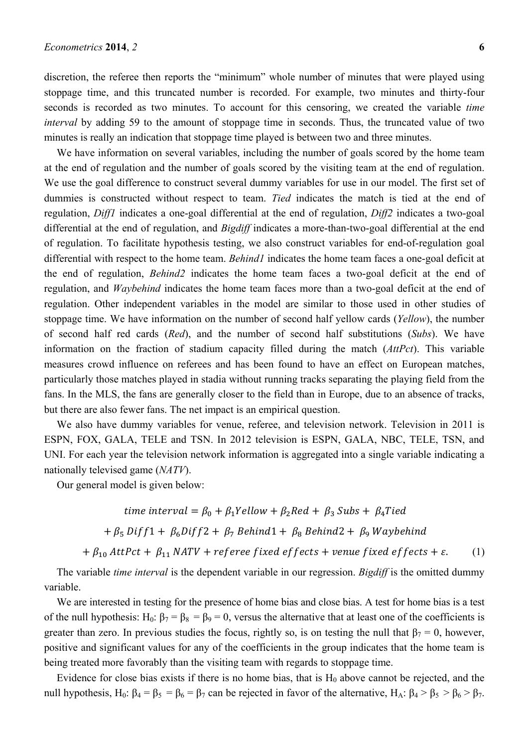discretion, the referee then reports the "minimum" whole number of minutes that were played using stoppage time, and this truncated number is recorded. For example, two minutes and thirty-four seconds is recorded as two minutes. To account for this censoring, we created the variable *time interval* by adding 59 to the amount of stoppage time in seconds. Thus, the truncated value of two minutes is really an indication that stoppage time played is between two and three minutes.

We have information on several variables, including the number of goals scored by the home team at the end of regulation and the number of goals scored by the visiting team at the end of regulation. We use the goal difference to construct several dummy variables for use in our model. The first set of dummies is constructed without respect to team. *Tied* indicates the match is tied at the end of regulation, *Diff1* indicates a one-goal differential at the end of regulation, *Diff2* indicates a two-goal differential at the end of regulation, and *Bigdiff* indicates a more-than-two-goal differential at the end of regulation. To facilitate hypothesis testing, we also construct variables for end-of-regulation goal differential with respect to the home team. *Behind1* indicates the home team faces a one-goal deficit at the end of regulation, *Behind2* indicates the home team faces a two-goal deficit at the end of regulation, and *Waybehind* indicates the home team faces more than a two-goal deficit at the end of regulation. Other independent variables in the model are similar to those used in other studies of stoppage time. We have information on the number of second half yellow cards (*Yellow*), the number of second half red cards (*Red*), and the number of second half substitutions (*Subs*). We have information on the fraction of stadium capacity filled during the match (*AttPct*). This variable measures crowd influence on referees and has been found to have an effect on European matches, particularly those matches played in stadia without running tracks separating the playing field from the fans. In the MLS, the fans are generally closer to the field than in Europe, due to an absence of tracks, but there are also fewer fans. The net impact is an empirical question.

We also have dummy variables for venue, referee, and television network. Television in 2011 is ESPN, FOX, GALA, TELE and TSN. In 2012 television is ESPN, GALA, NBC, TELE, TSN, and UNI. For each year the television network information is aggregated into a single variable indicating a nationally televised game (*NATV*).

Our general model is given below:

time interval = 
$$
\beta_0 + \beta_1 Y
$$
ellow +  $\beta_2 Red + \beta_3 Subs + \beta_4 T$ ied

 $+ \beta_5$  Diff1 +  $\beta_6$ Diff2 +  $\beta_7$  Behind1 +  $\beta_8$  Behind2 +  $\beta_9$  Waybehind

 $+\beta_{10}$  AttPct +  $\beta_{11}$  NATV + referee fixed effects + venue fixed effects +  $\varepsilon$ . (1)

The variable *time interval* is the dependent variable in our regression. *Bigdiff* is the omitted dummy variable.

We are interested in testing for the presence of home bias and close bias. A test for home bias is a test of the null hypothesis:  $H_0$ :  $\beta_7 = \beta_8 = \beta_9 = 0$ , versus the alternative that at least one of the coefficients is greater than zero. In previous studies the focus, rightly so, is on testing the null that  $\beta_7 = 0$ , however, positive and significant values for any of the coefficients in the group indicates that the home team is being treated more favorably than the visiting team with regards to stoppage time.

Evidence for close bias exists if there is no home bias, that is  $H_0$  above cannot be rejected, and the null hypothesis, H<sub>0</sub>:  $\beta_4 = \beta_5 = \beta_6 = \beta_7$  can be rejected in favor of the alternative, H<sub>A</sub>:  $\beta_4 > \beta_5 > \beta_6 > \beta_7$ .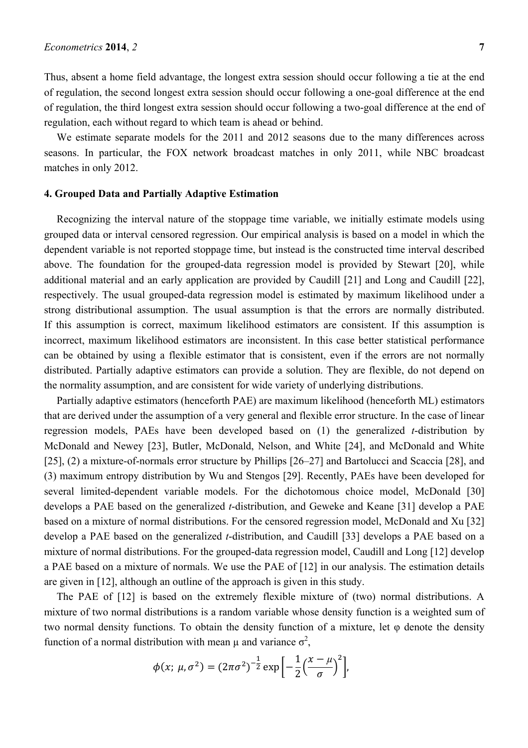Thus, absent a home field advantage, the longest extra session should occur following a tie at the end of regulation, the second longest extra session should occur following a one-goal difference at the end of regulation, the third longest extra session should occur following a two-goal difference at the end of regulation, each without regard to which team is ahead or behind.

We estimate separate models for the 2011 and 2012 seasons due to the many differences across seasons. In particular, the FOX network broadcast matches in only 2011, while NBC broadcast matches in only 2012.

## **4. Grouped Data and Partially Adaptive Estimation**

Recognizing the interval nature of the stoppage time variable, we initially estimate models using grouped data or interval censored regression. Our empirical analysis is based on a model in which the dependent variable is not reported stoppage time, but instead is the constructed time interval described above. The foundation for the grouped-data regression model is provided by Stewart [20], while additional material and an early application are provided by Caudill [21] and Long and Caudill [22], respectively. The usual grouped-data regression model is estimated by maximum likelihood under a strong distributional assumption. The usual assumption is that the errors are normally distributed. If this assumption is correct, maximum likelihood estimators are consistent. If this assumption is incorrect, maximum likelihood estimators are inconsistent. In this case better statistical performance can be obtained by using a flexible estimator that is consistent, even if the errors are not normally distributed. Partially adaptive estimators can provide a solution. They are flexible, do not depend on the normality assumption, and are consistent for wide variety of underlying distributions.

Partially adaptive estimators (henceforth PAE) are maximum likelihood (henceforth ML) estimators that are derived under the assumption of a very general and flexible error structure. In the case of linear regression models, PAEs have been developed based on (1) the generalized *t*-distribution by McDonald and Newey [23], Butler, McDonald, Nelson, and White [24], and McDonald and White [25], (2) a mixture-of-normals error structure by Phillips [26–27] and Bartolucci and Scaccia [28], and (3) maximum entropy distribution by Wu and Stengos [29]. Recently, PAEs have been developed for several limited-dependent variable models. For the dichotomous choice model, McDonald [30] develops a PAE based on the generalized *t*-distribution, and Geweke and Keane [31] develop a PAE based on a mixture of normal distributions. For the censored regression model, McDonald and Xu [32] develop a PAE based on the generalized *t*-distribution, and Caudill [33] develops a PAE based on a mixture of normal distributions. For the grouped-data regression model, Caudill and Long [12] develop a PAE based on a mixture of normals. We use the PAE of [12] in our analysis. The estimation details are given in [12], although an outline of the approach is given in this study.

The PAE of [12] is based on the extremely flexible mixture of (two) normal distributions. A mixture of two normal distributions is a random variable whose density function is a weighted sum of two normal density functions. To obtain the density function of a mixture, let  $\varphi$  denote the density function of a normal distribution with mean  $\mu$  and variance  $\sigma^2$ ,

$$
\phi(x; \mu, \sigma^2) = (2\pi\sigma^2)^{-\frac{1}{2}} \exp \left[ -\frac{1}{2} \left( \frac{x - \mu}{\sigma} \right)^2 \right],
$$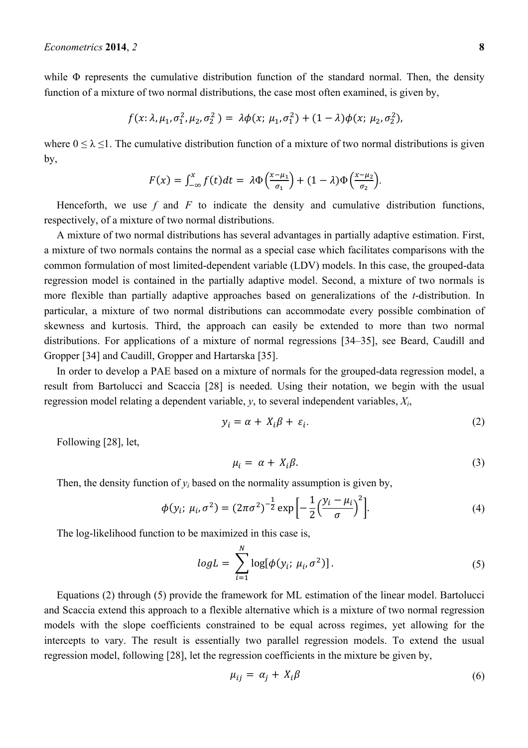while  $\Phi$  represents the cumulative distribution function of the standard normal. Then, the density function of a mixture of two normal distributions, the case most often examined, is given by,

$$
f(x; \lambda, \mu_1, \sigma_1^2, \mu_2, \sigma_2^2) = \lambda \phi(x; \mu_1, \sigma_1^2) + (1 - \lambda) \phi(x; \mu_2, \sigma_2^2),
$$

where  $0 \le \lambda \le 1$ . The cumulative distribution function of a mixture of two normal distributions is given by,

$$
F(x) = \int_{-\infty}^{x} f(t)dt = \lambda \Phi\left(\frac{x-\mu_1}{\sigma_1}\right) + (1-\lambda)\Phi\left(\frac{x-\mu_2}{\sigma_2}\right).
$$

Henceforth, we use  $f$  and  $F$  to indicate the density and cumulative distribution functions, respectively, of a mixture of two normal distributions.

A mixture of two normal distributions has several advantages in partially adaptive estimation. First, a mixture of two normals contains the normal as a special case which facilitates comparisons with the common formulation of most limited-dependent variable (LDV) models. In this case, the grouped-data regression model is contained in the partially adaptive model. Second, a mixture of two normals is more flexible than partially adaptive approaches based on generalizations of the *t*-distribution. In particular, a mixture of two normal distributions can accommodate every possible combination of skewness and kurtosis. Third, the approach can easily be extended to more than two normal distributions. For applications of a mixture of normal regressions [34–35], see Beard, Caudill and Gropper [34] and Caudill, Gropper and Hartarska [35].

In order to develop a PAE based on a mixture of normals for the grouped-data regression model, a result from Bartolucci and Scaccia [28] is needed. Using their notation, we begin with the usual regression model relating a dependent variable, *y*, to several independent variables, *Xi*,

$$
y_i = \alpha + X_i \beta + \varepsilon_i. \tag{2}
$$

Following [28], let,

$$
\mu_i = \alpha + X_i \beta. \tag{3}
$$

Then, the density function of  $y_i$  based on the normality assumption is given by,

$$
\phi(y_i; \mu_i, \sigma^2) = (2\pi\sigma^2)^{-\frac{1}{2}} \exp\left[-\frac{1}{2}\left(\frac{y_i - \mu_i}{\sigma}\right)^2\right].
$$
\n(4)

The log-likelihood function to be maximized in this case is,

$$
logL = \sum_{i=1}^{N} log[\phi(y_i; \mu_i, \sigma^2)].
$$
\n(5)

Equations (2) through (5) provide the framework for ML estimation of the linear model. Bartolucci and Scaccia extend this approach to a flexible alternative which is a mixture of two normal regression models with the slope coefficients constrained to be equal across regimes, yet allowing for the intercepts to vary. The result is essentially two parallel regression models. To extend the usual regression model, following [28], let the regression coefficients in the mixture be given by,

$$
\mu_{ij} = \alpha_j + X_i \beta \tag{6}
$$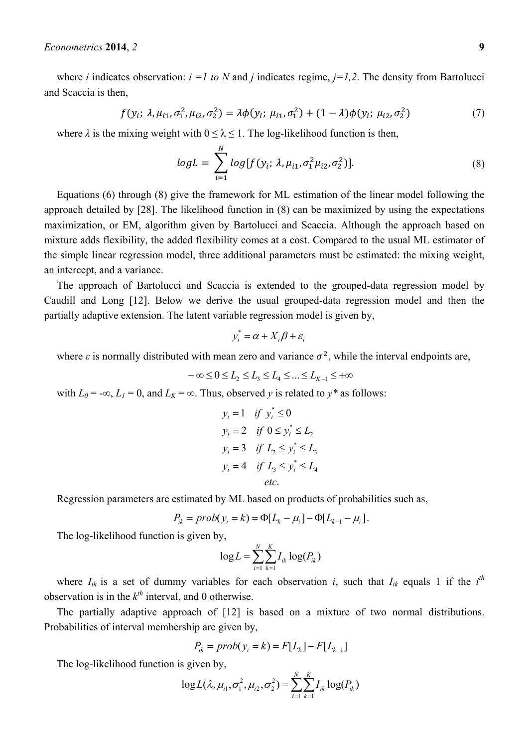where *i* indicates observation:  $i =1$  to N and *j* indicates regime,  $j=1,2$ . The density from Bartolucci and Scaccia is then,

$$
f(y_i; \lambda, \mu_{i1}, \sigma_1^2, \mu_{i2}, \sigma_2^2) = \lambda \phi(y_i; \mu_{i1}, \sigma_1^2) + (1 - \lambda) \phi(y_i; \mu_{i2}, \sigma_2^2)
$$
 (7)

where  $\lambda$  is the mixing weight with  $0 \leq \lambda \leq 1$ . The log-likelihood function is then,

$$
logL = \sum_{i=1}^{N} log[f(y_i; \lambda, \mu_{i1}, \sigma_1^2 \mu_{i2}, \sigma_2^2)].
$$
\n(8)

Equations (6) through (8) give the framework for ML estimation of the linear model following the approach detailed by [28]. The likelihood function in (8) can be maximized by using the expectations maximization, or EM, algorithm given by Bartolucci and Scaccia. Although the approach based on mixture adds flexibility, the added flexibility comes at a cost. Compared to the usual ML estimator of the simple linear regression model, three additional parameters must be estimated: the mixing weight, an intercept, and a variance.

The approach of Bartolucci and Scaccia is extended to the grouped-data regression model by Caudill and Long [12]. Below we derive the usual grouped-data regression model and then the partially adaptive extension. The latent variable regression model is given by,

$$
y_i^* = \alpha + X_i \beta + \varepsilon_i
$$

where  $\epsilon$  is normally distributed with mean zero and variance  $\sigma^2$ , while the interval endpoints are,

 $-\infty \leq 0 \leq L_2 \leq L_3 \leq L_4 \leq \ldots \leq L_{K-1} \leq +\infty$ 

with  $L_0 = -\infty$ ,  $L_1 = 0$ , and  $L_K = \infty$ . Thus, observed *y* is related to  $y^*$  as follows:

$$
y_i = 1 \quad \text{if} \quad y_i^* \le 0
$$
\n
$$
y_i = 2 \quad \text{if} \quad 0 \le y_i^* \le L_2
$$
\n
$$
y_i = 3 \quad \text{if} \quad L_2 \le y_i^* \le L_3
$$
\n
$$
y_i = 4 \quad \text{if} \quad L_3 \le y_i^* \le L_4
$$
\n
$$
\text{etc.}
$$

Regression parameters are estimated by ML based on products of probabilities such as,

$$
P_{ik} = prob(y_i = k) = \Phi[L_k - \mu_i] - \Phi[L_{k-1} - \mu_i].
$$

The log-likelihood function is given by,

$$
\log L = \sum_{i=1}^{N} \sum_{k=1}^{K} I_{ik} \log(P_{ik})
$$

where  $I_{ik}$  is a set of dummy variables for each observation *i*, such that  $I_{ik}$  equals 1 if the  $i^{th}$ observation is in the  $k^{th}$  interval, and 0 otherwise.

The partially adaptive approach of [12] is based on a mixture of two normal distributions. Probabilities of interval membership are given by,

$$
P_{ik} = prob(y_i = k) = F[L_k] - F[L_{k-1}]
$$

The log-likelihood function is given by,

$$
\log L(\lambda, \mu_{i1}, \sigma_1^2, \mu_{i2}, \sigma_2^2) = \sum_{i=1}^N \sum_{k=1}^K I_{ik} \log(P_{ik})
$$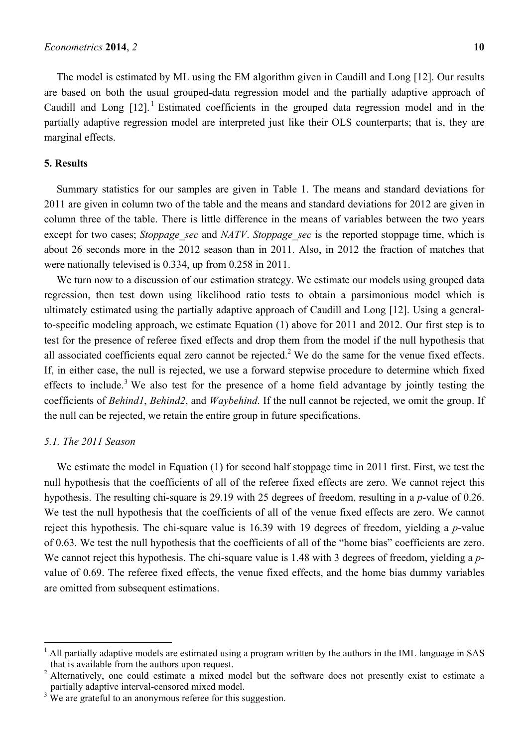The model is estimated by ML using the EM algorithm given in Caudill and Long [12]. Our results are based on both the usual grouped-data regression model and the partially adaptive approach of Caudill and Long  $[12]$ .<sup>1</sup> Estimated coefficients in the grouped data regression model and in the partially adaptive regression model are interpreted just like their OLS counterparts; that is, they are marginal effects.

# **5. Results**

Summary statistics for our samples are given in Table 1. The means and standard deviations for 2011 are given in column two of the table and the means and standard deviations for 2012 are given in column three of the table. There is little difference in the means of variables between the two years except for two cases; *Stoppage sec* and *NATV*. *Stoppage sec* is the reported stoppage time, which is about 26 seconds more in the 2012 season than in 2011. Also, in 2012 the fraction of matches that were nationally televised is 0.334, up from 0.258 in 2011.

We turn now to a discussion of our estimation strategy. We estimate our models using grouped data regression, then test down using likelihood ratio tests to obtain a parsimonious model which is ultimately estimated using the partially adaptive approach of Caudill and Long [12]. Using a generalto-specific modeling approach, we estimate Equation (1) above for 2011 and 2012. Our first step is to test for the presence of referee fixed effects and drop them from the model if the null hypothesis that all associated coefficients equal zero cannot be rejected.<sup>2</sup> We do the same for the venue fixed effects. If, in either case, the null is rejected, we use a forward stepwise procedure to determine which fixed effects to include.<sup>3</sup> We also test for the presence of a home field advantage by jointly testing the coefficients of *Behind1*, *Behind2*, and *Waybehind*. If the null cannot be rejected, we omit the group. If the null can be rejected, we retain the entire group in future specifications.

## *5.1. The 2011 Season*

 $\overline{a}$ 

We estimate the model in Equation (1) for second half stoppage time in 2011 first. First, we test the null hypothesis that the coefficients of all of the referee fixed effects are zero. We cannot reject this hypothesis. The resulting chi-square is 29.19 with 25 degrees of freedom, resulting in a *p*-value of 0.26. We test the null hypothesis that the coefficients of all of the venue fixed effects are zero. We cannot reject this hypothesis. The chi-square value is 16.39 with 19 degrees of freedom, yielding a *p*-value of 0.63. We test the null hypothesis that the coefficients of all of the "home bias" coefficients are zero. We cannot reject this hypothesis. The chi-square value is 1.48 with 3 degrees of freedom, yielding a *p*value of 0.69. The referee fixed effects, the venue fixed effects, and the home bias dummy variables are omitted from subsequent estimations.

<sup>&</sup>lt;sup>1</sup> All partially adaptive models are estimated using a program written by the authors in the IML language in SAS that is available from the authors upon request.

<sup>&</sup>lt;sup>2</sup> Alternatively, one could estimate a mixed model but the software does not presently exist to estimate a partially adaptive interval-censored mixed model.

 $3 \text{ We are grateful to an anonymous referee for this suggestion.}$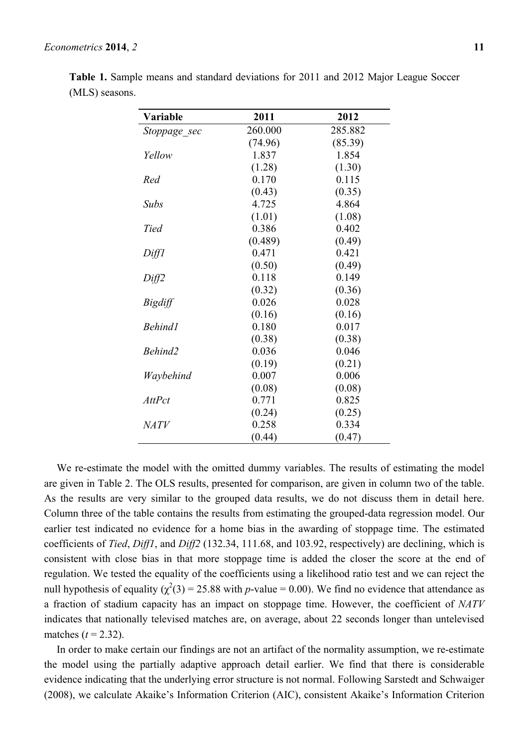| Variable      | 2011    | 2012    |
|---------------|---------|---------|
| Stoppage sec  | 260.000 | 285.882 |
|               | (74.96) | (85.39) |
| Yellow        | 1.837   | 1.854   |
|               | (1.28)  | (1.30)  |
| Red           | 0.170   | 0.115   |
|               | (0.43)  | (0.35)  |
| <b>Subs</b>   | 4.725   | 4.864   |
|               | (1.01)  | (1.08)  |
| <b>Tied</b>   | 0.386   | 0.402   |
|               | (0.489) | (0.49)  |
| Diff1         | 0.471   | 0.421   |
|               | (0.50)  | (0.49)  |
| Diff2         | 0.118   | 0.149   |
|               | (0.32)  | (0.36)  |
| Bigdiff       | 0.026   | 0.028   |
|               | (0.16)  | (0.16)  |
| Behind1       | 0.180   | 0.017   |
|               | (0.38)  | (0.38)  |
| Behind2       | 0.036   | 0.046   |
|               | (0.19)  | (0.21)  |
| Waybehind     | 0.007   | 0.006   |
|               | (0.08)  | (0.08)  |
| <b>AttPct</b> | 0.771   | 0.825   |
|               | (0.24)  | (0.25)  |
| <i>NATV</i>   | 0.258   | 0.334   |
|               | (0.44)  | (0.47)  |

**Table 1.** Sample means and standard deviations for 2011 and 2012 Major League Soccer (MLS) seasons.

We re-estimate the model with the omitted dummy variables. The results of estimating the model are given in Table 2. The OLS results, presented for comparison, are given in column two of the table. As the results are very similar to the grouped data results, we do not discuss them in detail here. Column three of the table contains the results from estimating the grouped-data regression model. Our earlier test indicated no evidence for a home bias in the awarding of stoppage time. The estimated coefficients of *Tied*, *Diff1*, and *Diff2* (132.34, 111.68, and 103.92, respectively) are declining, which is consistent with close bias in that more stoppage time is added the closer the score at the end of regulation. We tested the equality of the coefficients using a likelihood ratio test and we can reject the null hypothesis of equality  $(\chi^2(3) = 25.88$  with *p*-value = 0.00). We find no evidence that attendance as a fraction of stadium capacity has an impact on stoppage time. However, the coefficient of *NATV* indicates that nationally televised matches are, on average, about 22 seconds longer than untelevised matches  $(t = 2.32)$ .

In order to make certain our findings are not an artifact of the normality assumption, we re-estimate the model using the partially adaptive approach detail earlier. We find that there is considerable evidence indicating that the underlying error structure is not normal. Following Sarstedt and Schwaiger (2008), we calculate Akaike's Information Criterion (AIC), consistent Akaike's Information Criterion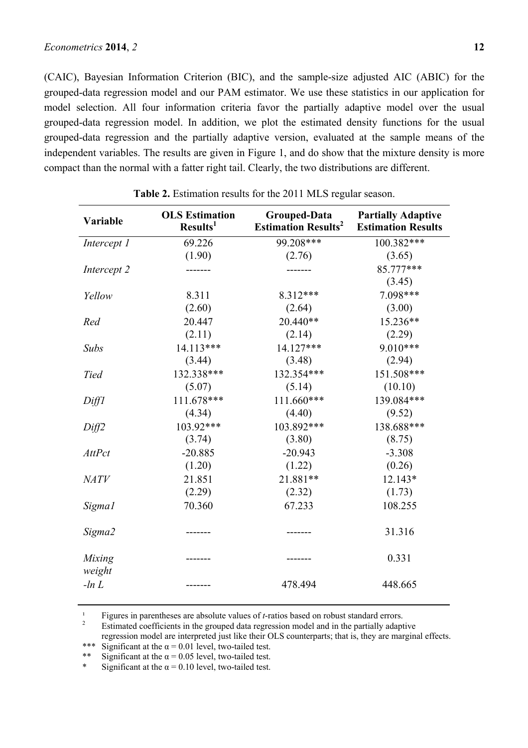(CAIC), Bayesian Information Criterion (BIC), and the sample-size adjusted AIC (ABIC) for the grouped-data regression model and our PAM estimator. We use these statistics in our application for model selection. All four information criteria favor the partially adaptive model over the usual grouped-data regression model. In addition, we plot the estimated density functions for the usual grouped-data regression and the partially adaptive version, evaluated at the sample means of the independent variables. The results are given in Figure 1, and do show that the mixture density is more compact than the normal with a fatter right tail. Clearly, the two distributions are different.

| Variable         | <b>OLS Estimation</b><br>Results <sup>1</sup> | Grouped-Data<br><b>Estimation Results<sup>2</sup></b> | <b>Partially Adaptive</b><br><b>Estimation Results</b> |
|------------------|-----------------------------------------------|-------------------------------------------------------|--------------------------------------------------------|
| Intercept 1      | 69.226                                        | 99.208***                                             | 100.382***                                             |
|                  | (1.90)                                        | (2.76)                                                | (3.65)                                                 |
| Intercept 2      |                                               |                                                       | 85.777***                                              |
|                  |                                               |                                                       | (3.45)                                                 |
| Yellow           | 8.311                                         | 8.312***                                              | 7.098***                                               |
|                  | (2.60)                                        | (2.64)                                                | (3.00)                                                 |
| Red              | 20.447                                        | 20.440**                                              | 15.236**                                               |
|                  | (2.11)                                        | (2.14)                                                | (2.29)                                                 |
| <b>Subs</b>      | 14.113***                                     | 14.127***                                             | $9.010***$                                             |
|                  | (3.44)                                        | (3.48)                                                | (2.94)                                                 |
| <b>Tied</b>      | 132.338***                                    | 132.354***                                            | 151.508***                                             |
|                  | (5.07)                                        | (5.14)                                                | (10.10)                                                |
| Diff1            | 111.678***                                    | 111.660***                                            | 139.084***                                             |
|                  | (4.34)                                        | (4.40)                                                | (9.52)                                                 |
| Diff2            | 103.92***                                     | 103.892***                                            | 138.688***                                             |
|                  | (3.74)                                        | (3.80)                                                | (8.75)                                                 |
| <b>AttPct</b>    | $-20.885$                                     | $-20.943$                                             | $-3.308$                                               |
|                  | (1.20)                                        | (1.22)                                                | (0.26)                                                 |
| <b>NATV</b>      | 21.851                                        | 21.881**                                              | $12.143*$                                              |
|                  | (2.29)                                        | (2.32)                                                | (1.73)                                                 |
| Sigma1           | 70.360                                        | 67.233                                                | 108.255                                                |
| Sigma2           |                                               |                                                       | 31.316                                                 |
| Mixing<br>weight |                                               |                                                       | 0.331                                                  |
| $-ln L$          |                                               | 478.494                                               | 448.665                                                |

**Table 2.** Estimation results for the 2011 MLS regular season.

<sup>1</sup> Figures in parentheses are absolute values of *t*-ratios based on robust standard errors.<br><sup>2</sup> Estimated coefficients in the grouped data regression model and in the partially adaptive

regression model are interpreted just like their OLS counterparts; that is, they are marginal effects.

\*\*\* Significant at the  $\alpha = 0.01$  level, two-tailed test.<br>\*\* Significant at the  $\alpha = 0.05$  level, two-tailed test. Significant at the  $\alpha$  = 0.05 level, two-tailed test.

Significant at the  $\alpha$  = 0.10 level, two-tailed test.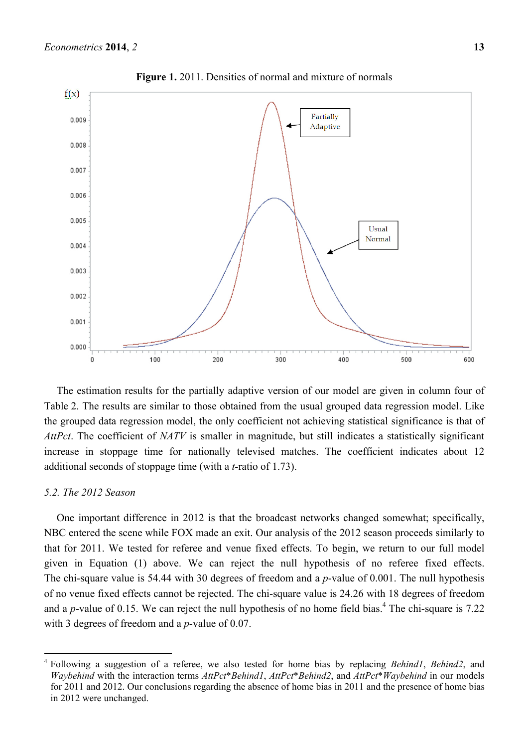

**Figure 1.** 2011. Densities of normal and mixture of normals

The estimation results for the partially adaptive version of our model are given in column four of Table 2. The results are similar to those obtained from the usual grouped data regression model. Like the grouped data regression model, the only coefficient not achieving statistical significance is that of *AttPct*. The coefficient of *NATV* is smaller in magnitude, but still indicates a statistically significant increase in stoppage time for nationally televised matches. The coefficient indicates about 12 additional seconds of stoppage time (with a *t*-ratio of 1.73).

## *5.2. The 2012 Season*

 $\overline{a}$ 

One important difference in 2012 is that the broadcast networks changed somewhat; specifically, NBC entered the scene while FOX made an exit. Our analysis of the 2012 season proceeds similarly to that for 2011. We tested for referee and venue fixed effects. To begin, we return to our full model given in Equation (1) above. We can reject the null hypothesis of no referee fixed effects. The chi-square value is 54.44 with 30 degrees of freedom and a *p*-value of 0.001. The null hypothesis of no venue fixed effects cannot be rejected. The chi-square value is 24.26 with 18 degrees of freedom and a  $p$ -value of 0.15. We can reject the null hypothesis of no home field bias.<sup>4</sup> The chi-square is 7.22 with 3 degrees of freedom and a *p*-value of 0.07.

<sup>4</sup> Following a suggestion of a referee, we also tested for home bias by replacing *Behind1*, *Behind2*, and *Waybehind* with the interaction terms *AttPct*\**Behind1*, *AttPct*\**Behind2*, and *AttPct*\**Waybehind* in our models for 2011 and 2012. Our conclusions regarding the absence of home bias in 2011 and the presence of home bias in 2012 were unchanged.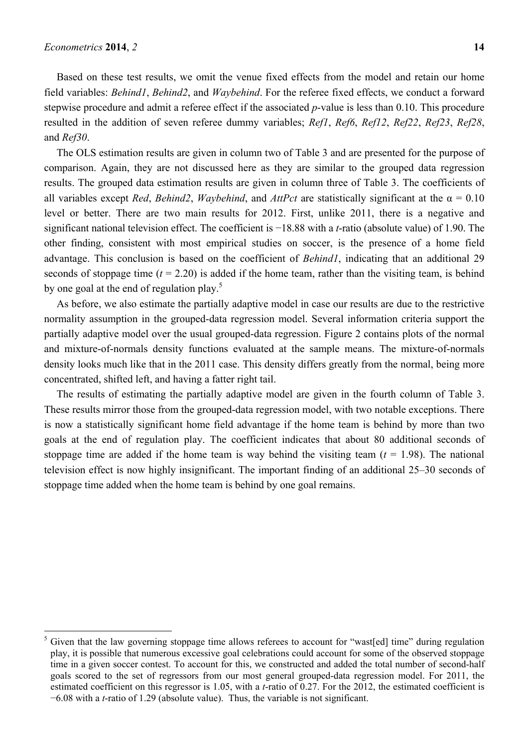$\overline{a}$ 

Based on these test results, we omit the venue fixed effects from the model and retain our home field variables: *Behind1*, *Behind2*, and *Waybehind*. For the referee fixed effects, we conduct a forward stepwise procedure and admit a referee effect if the associated *p*-value is less than 0.10. This procedure resulted in the addition of seven referee dummy variables; *Ref1*, *Ref6*, *Ref12*, *Ref22*, *Ref23*, *Ref28*, and *Ref30*.

The OLS estimation results are given in column two of Table 3 and are presented for the purpose of comparison. Again, they are not discussed here as they are similar to the grouped data regression results. The grouped data estimation results are given in column three of Table 3. The coefficients of all variables except *Red*, *Behind2*, *Waybehind*, and *AttPct* are statistically significant at the  $\alpha = 0.10$ level or better. There are two main results for 2012. First, unlike 2011, there is a negative and significant national television effect. The coefficient is  $-18.88$  with a *t*-ratio (absolute value) of 1.90. The other finding, consistent with most empirical studies on soccer, is the presence of a home field advantage. This conclusion is based on the coefficient of *Behind1*, indicating that an additional 29 seconds of stoppage time  $(t = 2.20)$  is added if the home team, rather than the visiting team, is behind by one goal at the end of regulation play.<sup>5</sup>

As before, we also estimate the partially adaptive model in case our results are due to the restrictive normality assumption in the grouped-data regression model. Several information criteria support the partially adaptive model over the usual grouped-data regression. Figure 2 contains plots of the normal and mixture-of-normals density functions evaluated at the sample means. The mixture-of-normals density looks much like that in the 2011 case. This density differs greatly from the normal, being more concentrated, shifted left, and having a fatter right tail.

The results of estimating the partially adaptive model are given in the fourth column of Table 3. These results mirror those from the grouped-data regression model, with two notable exceptions. There is now a statistically significant home field advantage if the home team is behind by more than two goals at the end of regulation play. The coefficient indicates that about 80 additional seconds of stoppage time are added if the home team is way behind the visiting team  $(t = 1.98)$ . The national television effect is now highly insignificant. The important finding of an additional 25–30 seconds of stoppage time added when the home team is behind by one goal remains.

<sup>5</sup> Given that the law governing stoppage time allows referees to account for "wast[ed] time" during regulation play, it is possible that numerous excessive goal celebrations could account for some of the observed stoppage time in a given soccer contest. To account for this, we constructed and added the total number of second-half goals scored to the set of regressors from our most general grouped-data regression model. For 2011, the estimated coefficient on this regressor is 1.05, with a *t*-ratio of 0.27. For the 2012, the estimated coefficient is  $-6.08$  with a *t*-ratio of 1.29 (absolute value). Thus, the variable is not significant.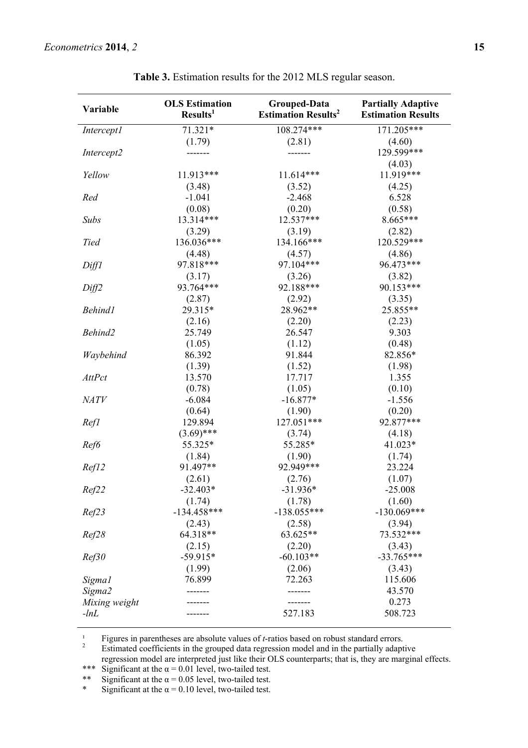| Variable          | <b>OLS</b> Estimation<br>Results <sup>1</sup> | Grouped-Data<br><b>Estimation Results<sup>2</sup></b> | <b>Partially Adaptive</b><br><b>Estimation Results</b> |
|-------------------|-----------------------------------------------|-------------------------------------------------------|--------------------------------------------------------|
| <b>Intercept1</b> | 71.321*                                       | 108.274***                                            | 171.205***                                             |
|                   | (1.79)                                        | (2.81)                                                | (4.60)                                                 |
| Intercept2        | -----                                         |                                                       | 129.599***                                             |
|                   |                                               |                                                       | (4.03)                                                 |
| Yellow            | 11.913***                                     | $11.614***$                                           | 11.919***                                              |
|                   | (3.48)                                        | (3.52)                                                | (4.25)                                                 |
| Red               | $-1.041$                                      | $-2.468$                                              | 6.528                                                  |
|                   | (0.08)                                        | (0.20)                                                | (0.58)                                                 |
| <b>Subs</b>       | 13.314***                                     | 12.537***                                             | 8.665***                                               |
|                   | (3.29)                                        | (3.19)                                                | (2.82)                                                 |
| <b>Tied</b>       | 136.036***                                    | 134.166***                                            | 120.529***                                             |
|                   | (4.48)                                        | (4.57)                                                | (4.86)                                                 |
| Diff1             | 97.818***                                     | 97.104***                                             | 96.473***                                              |
|                   | (3.17)                                        | (3.26)                                                | (3.82)                                                 |
| Diff2             | 93.764***                                     | 92.188***                                             | 90.153***                                              |
|                   | (2.87)                                        | (2.92)                                                | (3.35)                                                 |
| <b>Behind1</b>    | 29.315*                                       | 28.962**                                              | 25.855**                                               |
|                   | (2.16)                                        | (2.20)                                                | (2.23)                                                 |
| Behind2           | 25.749                                        | 26.547                                                | 9.303                                                  |
|                   | (1.05)                                        | (1.12)                                                | (0.48)                                                 |
| Waybehind         | 86.392                                        | 91.844                                                | 82.856*                                                |
|                   | (1.39)                                        | (1.52)                                                | (1.98)                                                 |
| <b>AttPct</b>     | 13.570                                        | 17.717                                                | 1.355                                                  |
|                   | (0.78)                                        | (1.05)                                                | (0.10)                                                 |
| <b>NATV</b>       | $-6.084$                                      | $-16.877*$                                            | $-1.556$                                               |
|                   | (0.64)                                        | (1.90)                                                | (0.20)                                                 |
| Refl              | 129.894                                       | 127.051***                                            | 92.877***                                              |
|                   | $(3.69)$ ***                                  | (3.74)                                                | (4.18)                                                 |
| Ref6              | 55.325*                                       | 55.285*                                               | 41.023*                                                |
|                   | (1.84)                                        | (1.90)                                                | (1.74)                                                 |
| Ref12             | 91.497**                                      | 92.949***                                             | 23.224                                                 |
|                   | (2.61)                                        | (2.76)                                                | (1.07)                                                 |
| Ref22             | $-32.403*$                                    | $-31.936*$                                            | $-25.008$                                              |
|                   | (1.74)                                        | (1.78)                                                | (1.60)                                                 |
| Ref23             | $-134.458***$                                 | $-138.055***$                                         | $-130.069***$                                          |
|                   | (2.43)                                        | (2.58)                                                | (3.94)                                                 |
| Ref28             | 64.318**                                      | 63.625**                                              | 73.532***                                              |
|                   | (2.15)                                        | (2.20)                                                | (3.43)                                                 |
| Ref30             | $-59.915*$                                    | $-60.103**$                                           | $-33.765***$                                           |
|                   | (1.99)                                        | (2.06)                                                | (3.43)                                                 |
| Sigma1            | 76.899                                        | 72.263                                                | 115.606                                                |
|                   |                                               |                                                       | 43.570                                                 |
| Sigma2            |                                               |                                                       | 0.273                                                  |
| Mixing weight     |                                               | 527.183                                               | 508.723                                                |
| $-lnL$            |                                               |                                                       |                                                        |

**Table 3.** Estimation results for the 2012 MLS regular season.

<sup>1</sup> Figures in parentheses are absolute values of *t*-ratios based on robust standard errors.

Estimated coefficients in the grouped data regression model and in the partially adaptive

regression model are interpreted just like their OLS counterparts; that is, they are marginal effects.

\*\*\* Significant at the  $\alpha = 0.01$  level, two-tailed test.<br>\*\* Significant at the  $\alpha = 0.05$  level, two-tailed test.

Significant at the  $\alpha$  = 0.05 level, two-tailed test.

\* Significant at the  $\alpha = 0.10$  level, two-tailed test.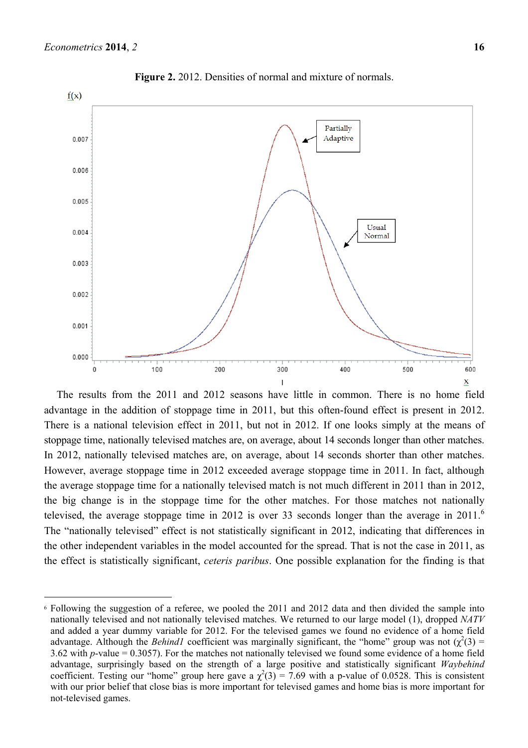$\overline{a}$ 



**Figure 2.** 2012. Densities of normal and mixture of normals.

The results from the 2011 and 2012 seasons have little in common. There is no home field advantage in the addition of stoppage time in 2011, but this often-found effect is present in 2012. There is a national television effect in 2011, but not in 2012. If one looks simply at the means of stoppage time, nationally televised matches are, on average, about 14 seconds longer than other matches. In 2012, nationally televised matches are, on average, about 14 seconds shorter than other matches. However, average stoppage time in 2012 exceeded average stoppage time in 2011. In fact, although the average stoppage time for a nationally televised match is not much different in 2011 than in 2012, the big change is in the stoppage time for the other matches. For those matches not nationally televised, the average stoppage time in 2012 is over 33 seconds longer than the average in 2011.<sup>6</sup> The "nationally televised" effect is not statistically significant in 2012, indicating that differences in the other independent variables in the model accounted for the spread. That is not the case in 2011, as the effect is statistically significant, *ceteris paribus*. One possible explanation for the finding is that

<sup>6</sup> Following the suggestion of a referee, we pooled the 2011 and 2012 data and then divided the sample into nationally televised and not nationally televised matches. We returned to our large model (1), dropped *NATV* and added a year dummy variable for 2012. For the televised games we found no evidence of a home field advantage. Although the *Behind1* coefficient was marginally significant, the "home" group was not  $(\chi^2(3) =$ 3.62 with *p*-value = 0.3057). For the matches not nationally televised we found some evidence of a home field advantage, surprisingly based on the strength of a large positive and statistically significant *Waybehind* coefficient. Testing our "home" group here gave a  $\chi^2(3) = 7.69$  with a p-value of 0.0528. This is consistent with our prior belief that close bias is more important for televised games and home bias is more important for not-televised games.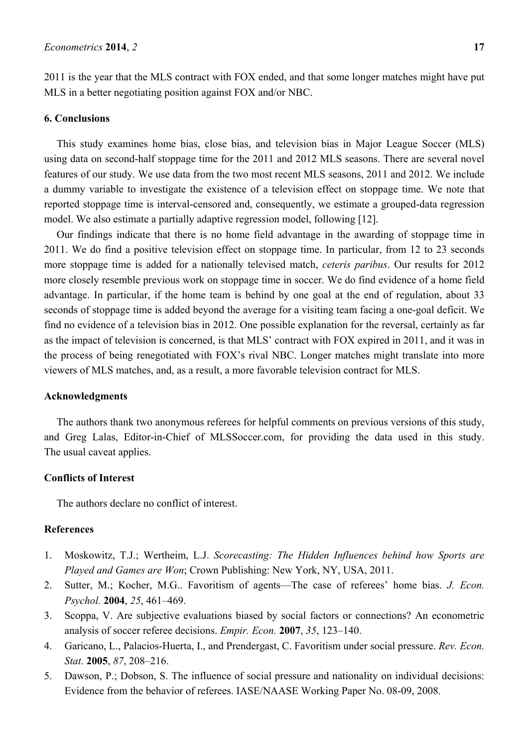2011 is the year that the MLS contract with FOX ended, and that some longer matches might have put MLS in a better negotiating position against FOX and/or NBC.

### **6. Conclusions**

This study examines home bias, close bias, and television bias in Major League Soccer (MLS) using data on second-half stoppage time for the 2011 and 2012 MLS seasons. There are several novel features of our study. We use data from the two most recent MLS seasons, 2011 and 2012. We include a dummy variable to investigate the existence of a television effect on stoppage time. We note that reported stoppage time is interval-censored and, consequently, we estimate a grouped-data regression model. We also estimate a partially adaptive regression model, following [12].

Our findings indicate that there is no home field advantage in the awarding of stoppage time in 2011. We do find a positive television effect on stoppage time. In particular, from 12 to 23 seconds more stoppage time is added for a nationally televised match, *ceteris paribus*. Our results for 2012 more closely resemble previous work on stoppage time in soccer. We do find evidence of a home field advantage. In particular, if the home team is behind by one goal at the end of regulation, about 33 seconds of stoppage time is added beyond the average for a visiting team facing a one-goal deficit. We find no evidence of a television bias in 2012. One possible explanation for the reversal, certainly as far as the impact of television is concerned, is that MLS' contract with FOX expired in 2011, and it was in the process of being renegotiated with FOX's rival NBC. Longer matches might translate into more viewers of MLS matches, and, as a result, a more favorable television contract for MLS.

#### **Acknowledgments**

The authors thank two anonymous referees for helpful comments on previous versions of this study, and Greg Lalas, Editor-in-Chief of MLSSoccer.com, for providing the data used in this study. The usual caveat applies.

## **Conflicts of Interest**

The authors declare no conflict of interest.

# **References**

- 1. Moskowitz, T.J.; Wertheim, L.J. *Scorecasting: The Hidden Influences behind how Sports are Played and Games are Won*; Crown Publishing: New York, NY, USA, 2011.
- 2. Sutter, M.; Kocher, M.G.. Favoritism of agents—The case of referees' home bias. *J. Econ. Psychol.* **2004**, *25*, 461–469.
- 3. Scoppa, V. Are subjective evaluations biased by social factors or connections? An econometric analysis of soccer referee decisions. *Empir. Econ.* **2007**, *35*, 123–140.
- 4. Garicano, L., Palacios-Huerta, I., and Prendergast, C. Favoritism under social pressure. *Rev. Econ. Stat.* **2005**, *87*, 208–216.
- 5. Dawson, P.; Dobson, S. The influence of social pressure and nationality on individual decisions: Evidence from the behavior of referees. IASE/NAASE Working Paper No. 08-09, 2008.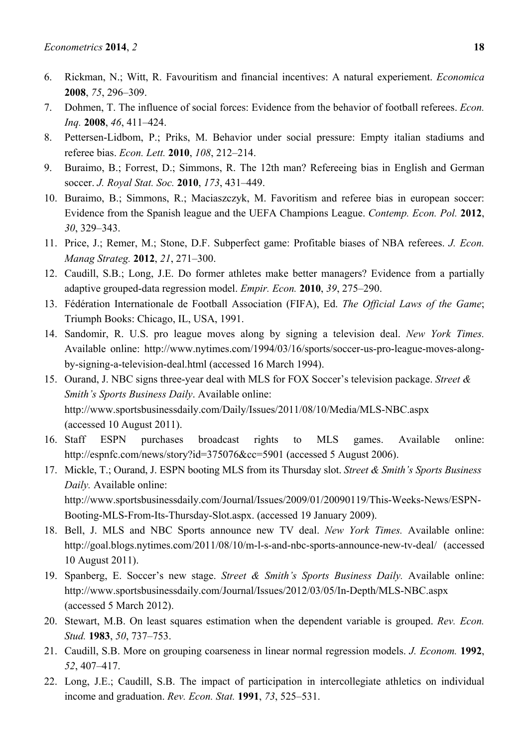- 6. Rickman, N.; Witt, R. Favouritism and financial incentives: A natural experiement. *Economica* **2008**, *75*, 296–309.
- 7. Dohmen, T. The influence of social forces: Evidence from the behavior of football referees. *Econ. Inq.* **2008**, *46*, 411–424.
- 8. Pettersen-Lidbom, P.; Priks, M. Behavior under social pressure: Empty italian stadiums and referee bias. *Econ. Lett.* **2010**, *108*, 212–214.
- 9. Buraimo, B.; Forrest, D.; Simmons, R. The 12th man? Refereeing bias in English and German soccer. *J. Royal Stat. Soc.* **2010**, *173*, 431–449.
- 10. Buraimo, B.; Simmons, R.; Maciaszczyk, M. Favoritism and referee bias in european soccer: Evidence from the Spanish league and the UEFA Champions League. *Contemp. Econ. Pol.* **2012**, *30*, 329–343.
- 11. Price, J.; Remer, M.; Stone, D.F. Subperfect game: Profitable biases of NBA referees. *J. Econ. Manag Strateg.* **2012**, *21*, 271–300.
- 12. Caudill, S.B.; Long, J.E. Do former athletes make better managers? Evidence from a partially adaptive grouped-data regression model. *Empir. Econ.* **2010**, *39*, 275–290.
- 13. Fédération Internationale de Football Association (FIFA), Ed. *The Official Laws of the Game*; Triumph Books: Chicago, IL, USA, 1991.
- 14. Sandomir, R. U.S. pro league moves along by signing a television deal. *New York Times.* Available online: http://www.nytimes.com/1994/03/16/sports/soccer-us-pro-league-moves-alongby-signing-a-television-deal.html (accessed 16 March 1994).
- 15. Ourand, J. NBC signs three-year deal with MLS for FOX Soccer's television package. *Street & Smith's Sports Business Daily*. Available online: http://www.sportsbusinessdaily.com/Daily/Issues/2011/08/10/Media/MLS-NBC.aspx (accessed 10 August 2011).
- 16. Staff ESPN purchases broadcast rights to MLS games. Available online: http://espnfc.com/news/story?id=375076&cc=5901 (accessed 5 August 2006).
- 17. Mickle, T.; Ourand, J. ESPN booting MLS from its Thursday slot. *Street & Smith's Sports Business Daily.* Available online: http://www.sportsbusinessdaily.com/Journal/Issues/2009/01/20090119/This-Weeks-News/ESPN-Booting-MLS-From-Its-Thursday-Slot.aspx. (accessed 19 January 2009).
- 18. Bell, J. MLS and NBC Sports announce new TV deal. *New York Times.* Available online: http://goal.blogs.nytimes.com/2011/08/10/m-l-s-and-nbc-sports-announce-new-tv-deal/ (accessed 10 August 2011).
- 19. Spanberg, E. Soccer's new stage. *Street & Smith's Sports Business Daily.* Available online: http://www.sportsbusinessdaily.com/Journal/Issues/2012/03/05/In-Depth/MLS-NBC.aspx (accessed 5 March 2012).
- 20. Stewart, M.B. On least squares estimation when the dependent variable is grouped. *Rev. Econ. Stud.* **1983**, *50*, 737–753.
- 21. Caudill, S.B. More on grouping coarseness in linear normal regression models. *J. Econom.* **1992**, *52*, 407–417.
- 22. Long, J.E.; Caudill, S.B. The impact of participation in intercollegiate athletics on individual income and graduation. *Rev. Econ. Stat.* **1991**, *73*, 525–531.